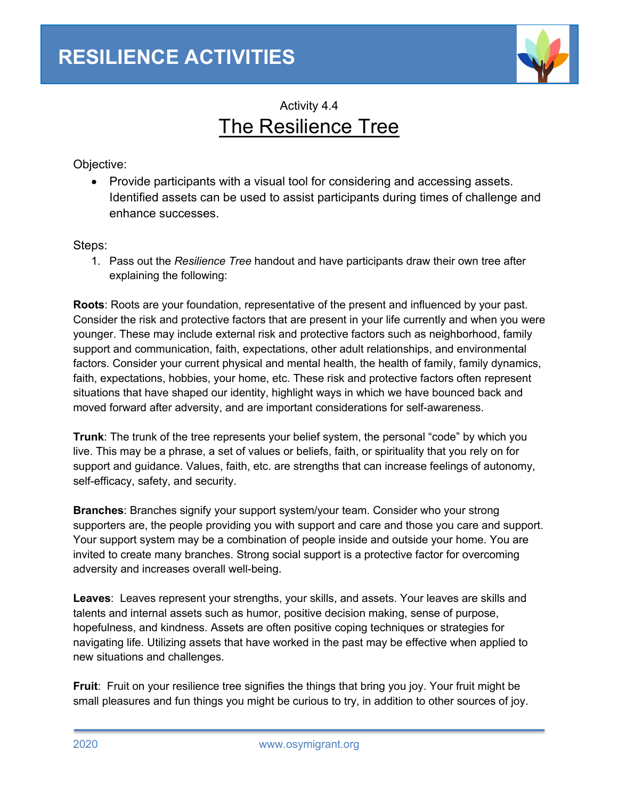

## Activity 4.4 The Resilience Tree

Objective:

• Provide participants with a visual tool for considering and accessing assets. Identified assets can be used to assist participants during times of challenge and enhance successes.

Steps:

1. Pass out the *Resilience Tree* handout and have participants draw their own tree after explaining the following:

**Roots**: Roots are your foundation, representative of the present and influenced by your past. Consider the risk and protective factors that are present in your life currently and when you were younger. These may include external risk and protective factors such as neighborhood, family support and communication, faith, expectations, other adult relationships, and environmental factors. Consider your current physical and mental health, the health of family, family dynamics, faith, expectations, hobbies, your home, etc. These risk and protective factors often represent situations that have shaped our identity, highlight ways in which we have bounced back and moved forward after adversity, and are important considerations for self-awareness.

**Trunk**: The trunk of the tree represents your belief system, the personal "code" by which you live. This may be a phrase, a set of values or beliefs, faith, or spirituality that you rely on for support and guidance. Values, faith, etc. are strengths that can increase feelings of autonomy, self-efficacy, safety, and security.

**Branches**: Branches signify your support system/your team. Consider who your strong supporters are, the people providing you with support and care and those you care and support. Your support system may be a combination of people inside and outside your home. You are invited to create many branches. Strong social support is a protective factor for overcoming adversity and increases overall well-being.

**Leaves**: Leaves represent your strengths, your skills, and assets. Your leaves are skills and talents and internal assets such as humor, positive decision making, sense of purpose, hopefulness, and kindness. Assets are often positive coping techniques or strategies for navigating life. Utilizing assets that have worked in the past may be effective when applied to new situations and challenges.

**Fruit**: Fruit on your resilience tree signifies the things that bring you joy. Your fruit might be small pleasures and fun things you might be curious to try, in addition to other sources of joy.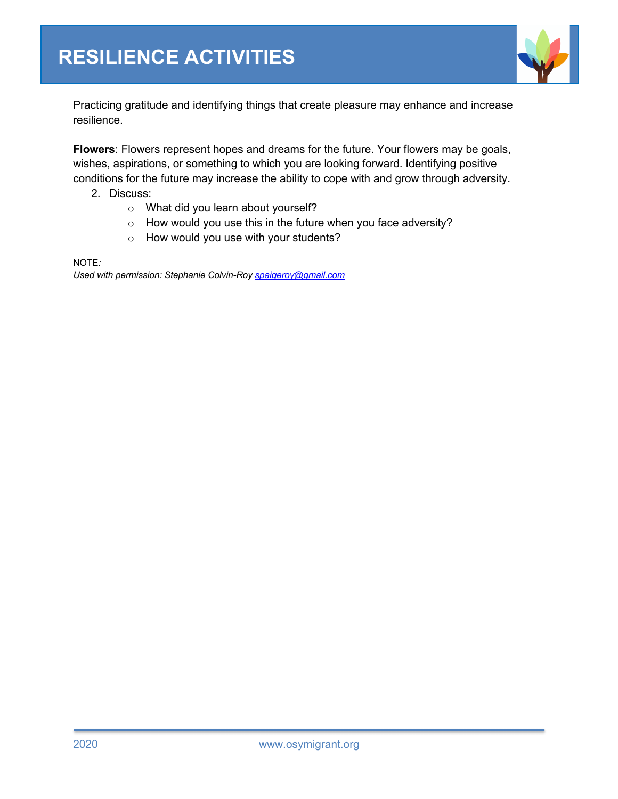

Practicing gratitude and identifying things that create pleasure may enhance and increase resilience.

**Flowers**: Flowers represent hopes and dreams for the future. Your flowers may be goals, wishes, aspirations, or something to which you are looking forward. Identifying positive conditions for the future may increase the ability to cope with and grow through adversity.

- 2. Discuss:
	- o What did you learn about yourself?
	- o How would you use this in the future when you face adversity?
	- o How would you use with your students?

NOTE*:*

*Used with permission: Stephanie Colvin-Roy spaigeroy@gmail.com*